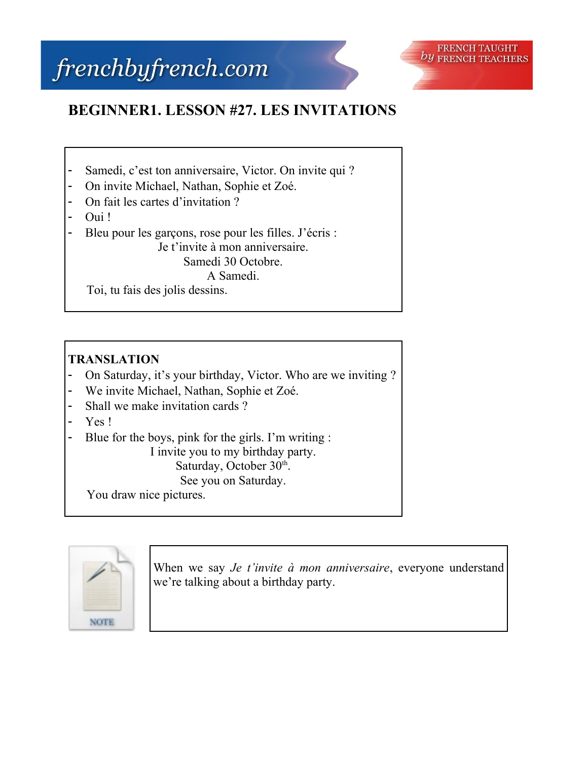## frenchbyfrench.com



## **BEGINNER1. LESSON #27. LES INVITATIONS**

- Samedi, c'est ton anniversaire, Victor. On invite qui ?
- On invite Michael, Nathan, Sophie et Zoé.
- On fait les cartes d'invitation ?
- Oui !
- Bleu pour les garçons, rose pour les filles. J'écris : Je t'invite à mon anniversaire.

Samedi 30 Octobre.

A Samedi.

Toi, tu fais des jolis dessins.

## **TRANSLATION**

- On Saturday, it's your birthday, Victor. Who are we inviting ?
- We invite Michael, Nathan, Sophie et Zoé.
- Shall we make invitation cards ?
- Yes!
- Blue for the boys, pink for the girls. I'm writing :

I invite you to my birthday party. Saturday, October 30th.

See you on Saturday.

You draw nice pictures.



When we say *Je t'invite à mon anniversaire*, everyone understand we're talking about a birthday party.